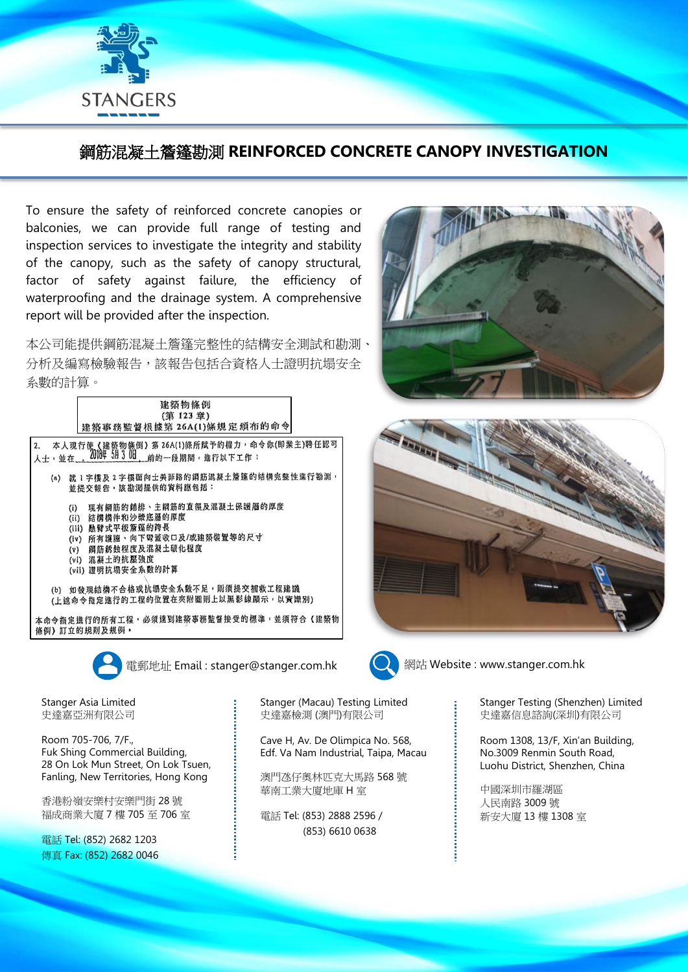

## 鋼筋混凝土簷篷勘測 **REINFORCED CONCRETE CANOPY INVESTIGATION**

To ensure the safety of reinforced concrete canopies or balconies, we can provide full range of testing and inspection services to investigate the integrity and stability of the canopy, such as the safety of canopy structural, factor of safety against failure, the efficiency of waterproofing and the drainage system. A comprehensive report will be provided after the inspection.

本公司能提供鋼筋混凝土簷篷完整性的結構安全測試和勘測、 分析及編寫檢驗報告,該報告包括合資格人士證明抗塌安全 系數的計算。

| 建築物條例                                                                                      |
|--------------------------------------------------------------------------------------------|
| (第123章)                                                                                    |
| 建築事務監督根據第 26A(1)條規定頒布的命令                                                                   |
| 2. 本人現行使《建築物條例》第 26A(1)條所賦予的權力 · 命令你(即業主)聘任認可<br>人士 · 並在___2010年 5月30日___前的一段期間 · 進行以下工作 · |
| 就1字樓及2字樓面向士美菲路的鋼筋混凝土簷篷的结構完整性進行勘測,<br>(a)<br>並提交報告,該勘測提供的資料應包括:                             |
| 現有鋼筋的鋪排、主鋼筋的直徑及混凝土保護層的厚度<br>(i)<br>(ii) 结構構件和沙漿底層的厚度                                       |
| (III) 熱臂式平板覆篷的跨長<br>(iv) 所有護牆、向下霉蓋收口及/或建築裝置等的尺寸                                            |
| (v) 鋼筋銹蝕程度及混凝土碳化程度                                                                         |
| (vi) 混凝土的抗壓強度<br>(vii) 證明抗塌安全系數的計算                                                         |
| (b) 如發現結構不合格或抗場安全系數不足,則須提交補救工程建議<br>(上述命令指定進行的工程的位置在夾附圖則上以黑影線頤示,以資識別)                      |
| 本命令指定進行的所有工程,必須遠到建築事務監督接受的標準,並須符合《建築物<br>條例) 訂立的規則及規例 ·                                    |
| 電郵地址 Email: stanger@stanger.com.hk                                                         |

Stanger Asia Limited 史達嘉亞洲有限公司

Room 705-706, 7/F., Fuk Shing Commercial Building, 28 On Lok Mun Street, On Lok Tsuen, Fanling, New Territories, Hong Kong

香港粉嶺安樂村安樂門街 28 號 福成商業大廈 7 樓 705 至 706 室

電話 Tel: (852) 2682 1203 傳真 Fax: (852) 2682 0046 Stanger (Macau) Testing Limited 史達嘉檢測 (澳門)有限公司

Cave H, Av. De Olimpica No. 568, Edf. Va Nam Industrial, Taipa, Macau

澳門氹仔奧林匹克大馬路 568 號 華南工業大廈地庫 H 室

電話 Tel: (853) 2888 2596 / (853) 6610 0638







網站 Website : www.stanger.com.hk

Stanger Testing (Shenzhen) Limited 史達嘉信息諮詢(深圳)有限公司

Room 1308, 13/F, Xin'an Building, No.3009 Renmin South Road, Luohu District, Shenzhen, China

中國深圳市羅湖區 人民南路 3009 號 新安大廈 13 樓 1308 室